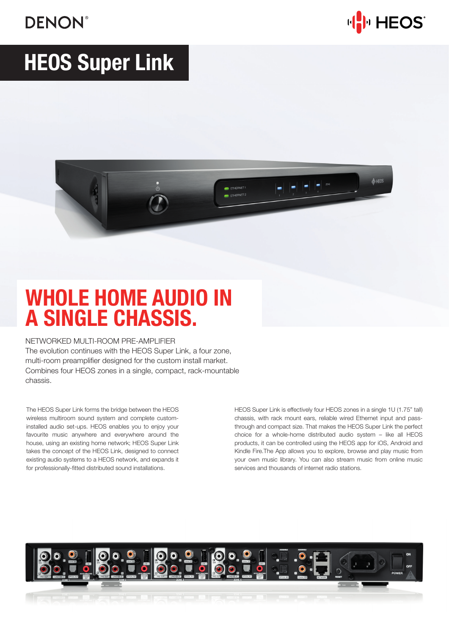## **DENON®**



# HEOS Super Link



## WHOLE HOME AUDIO IN A SINGLE CHASSIS.

#### NETWORKED MULTI-ROOM PRE-AMPLIFIER

The evolution continues with the HEOS Super Link, a four zone, multi-room preamplifier designed for the custom install market. Combines four HEOS zones in a single, compact, rack-mountable chassis.

The HEOS Super Link forms the bridge between the HEOS wireless multiroom sound system and complete custominstalled audio set-ups. HEOS enables you to enjoy your favourite music anywhere and everywhere around the house, using an existing home network; HEOS Super Link takes the concept of the HEOS Link, designed to connect existing audio systems to a HEOS network, and expands it for professionally-fitted distributed sound installations.

HEOS Super Link is effectively four HEOS zones in a single 1U (1.75" tall) chassis, with rack mount ears, reliable wired Ethernet input and passthrough and compact size. That makes the HEOS Super Link the perfect choice for a whole-home distributed audio system – like all HEOS products, it can be controlled using the HEOS app for iOS, Android and Kindle Fire.The App allows you to explore, browse and play music from your own music library. You can also stream music from online music services and thousands of internet radio stations.